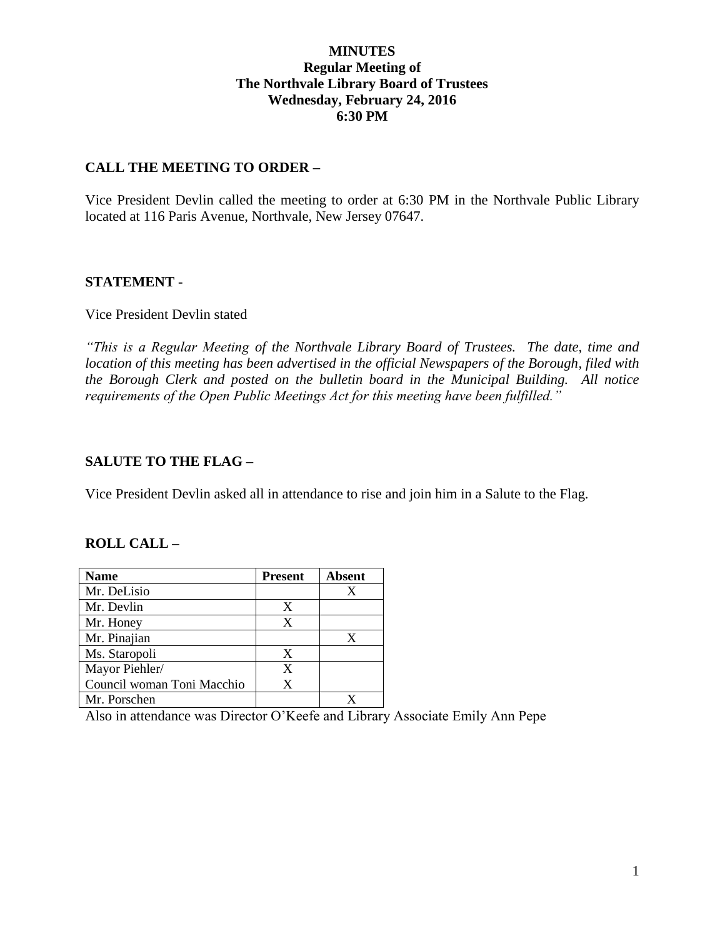## **MINUTES Regular Meeting of The Northvale Library Board of Trustees Wednesday, February 24, 2016 6:30 PM**

## **CALL THE MEETING TO ORDER –**

Vice President Devlin called the meeting to order at 6:30 PM in the Northvale Public Library located at 116 Paris Avenue, Northvale, New Jersey 07647.

## **STATEMENT -**

## Vice President Devlin stated

*"This is a Regular Meeting of the Northvale Library Board of Trustees. The date, time and location of this meeting has been advertised in the official Newspapers of the Borough, filed with the Borough Clerk and posted on the bulletin board in the Municipal Building. All notice requirements of the Open Public Meetings Act for this meeting have been fulfilled."* 

## **SALUTE TO THE FLAG –**

Vice President Devlin asked all in attendance to rise and join him in a Salute to the Flag.

## **ROLL CALL –**

| <b>Name</b>                | <b>Present</b> | <b>Absent</b> |
|----------------------------|----------------|---------------|
| Mr. DeLisio                |                | X             |
| Mr. Devlin                 | X              |               |
| Mr. Honey                  | X              |               |
| Mr. Pinajian               |                | X             |
| Ms. Staropoli              | X              |               |
| Mayor Piehler/             | X              |               |
| Council woman Toni Macchio | X              |               |
| Mr. Porschen               |                |               |

Also in attendance was Director O'Keefe and Library Associate Emily Ann Pepe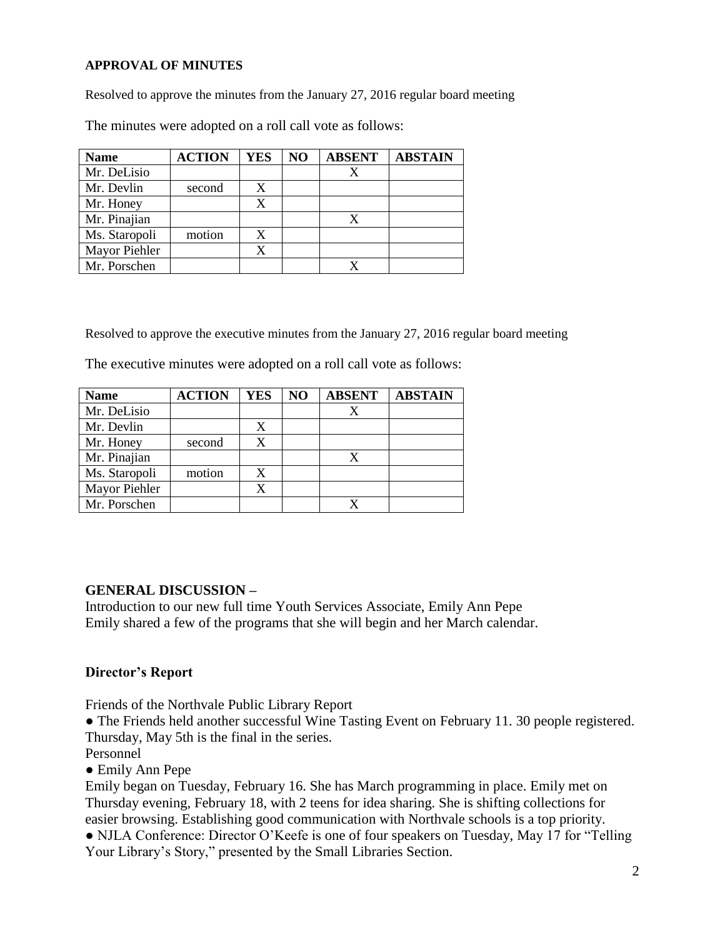#### **APPROVAL OF MINUTES**

Resolved to approve the minutes from the January 27, 2016 regular board meeting

| <b>Name</b>   | <b>ACTION</b> | YES | N <sub>O</sub> | <b>ABSENT</b> | <b>ABSTAIN</b> |
|---------------|---------------|-----|----------------|---------------|----------------|
| Mr. DeLisio   |               |     |                |               |                |
| Mr. Devlin    | second        | X   |                |               |                |
| Mr. Honey     |               | X   |                |               |                |
| Mr. Pinajian  |               |     |                | X             |                |
| Ms. Staropoli | motion        | X   |                |               |                |
| Mayor Piehler |               | X   |                |               |                |
| Mr. Porschen  |               |     |                |               |                |

The minutes were adopted on a roll call vote as follows:

Resolved to approve the executive minutes from the January 27, 2016 regular board meeting

The executive minutes were adopted on a roll call vote as follows:

| <b>Name</b>   | <b>ACTION</b> | <b>YES</b> | NO | <b>ABSENT</b> | <b>ABSTAIN</b> |
|---------------|---------------|------------|----|---------------|----------------|
| Mr. DeLisio   |               |            |    |               |                |
| Mr. Devlin    |               |            |    |               |                |
| Mr. Honey     | second        | X          |    |               |                |
| Mr. Pinajian  |               |            |    | X             |                |
| Ms. Staropoli | motion        | X          |    |               |                |
| Mayor Piehler |               |            |    |               |                |
| Mr. Porschen  |               |            |    |               |                |

## **GENERAL DISCUSSION –**

Introduction to our new full time Youth Services Associate, Emily Ann Pepe Emily shared a few of the programs that she will begin and her March calendar.

## **Director's Report**

Friends of the Northvale Public Library Report

• The Friends held another successful Wine Tasting Event on February 11. 30 people registered. Thursday, May 5th is the final in the series.

Personnel

● Emily Ann Pepe

Emily began on Tuesday, February 16. She has March programming in place. Emily met on Thursday evening, February 18, with 2 teens for idea sharing. She is shifting collections for easier browsing. Establishing good communication with Northvale schools is a top priority. • NJLA Conference: Director O'Keefe is one of four speakers on Tuesday, May 17 for "Telling" Your Library's Story," presented by the Small Libraries Section.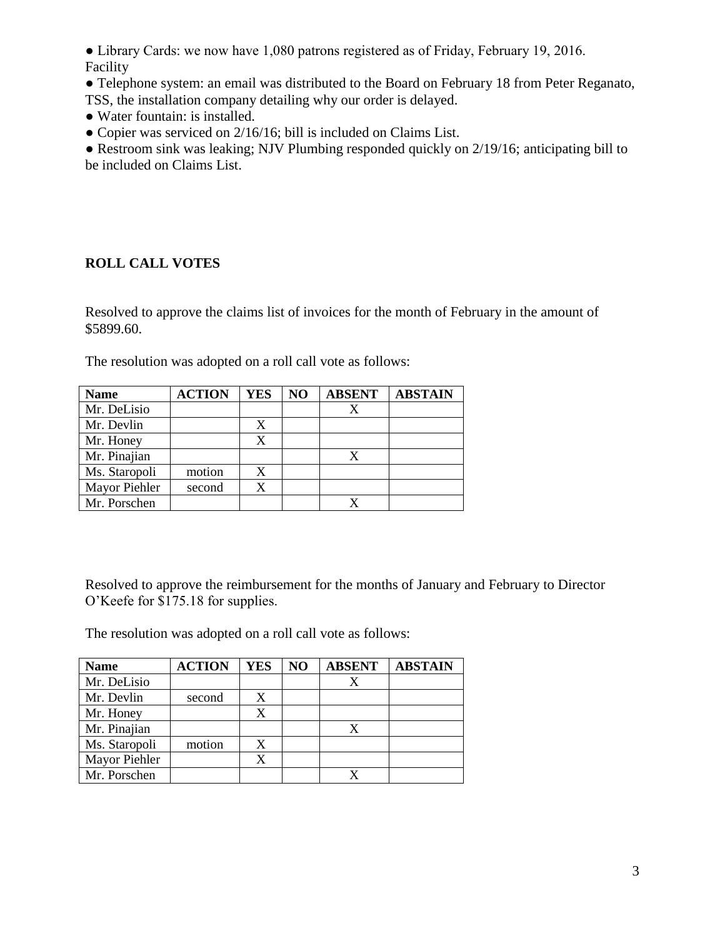• Library Cards: we now have 1,080 patrons registered as of Friday, February 19, 2016. Facility

- Telephone system: an email was distributed to the Board on February 18 from Peter Reganato, TSS, the installation company detailing why our order is delayed.
- Water fountain: is installed.
- Copier was serviced on 2/16/16; bill is included on Claims List.

● Restroom sink was leaking; NJV Plumbing responded quickly on 2/19/16; anticipating bill to be included on Claims List.

# **ROLL CALL VOTES**

Resolved to approve the claims list of invoices for the month of February in the amount of \$5899.60.

The resolution was adopted on a roll call vote as follows:

| <b>Name</b>   | <b>ACTION</b> | <b>YES</b> | NO | <b>ABSENT</b> | <b>ABSTAIN</b> |
|---------------|---------------|------------|----|---------------|----------------|
| Mr. DeLisio   |               |            |    |               |                |
| Mr. Devlin    |               |            |    |               |                |
| Mr. Honey     |               | X          |    |               |                |
| Mr. Pinajian  |               |            |    |               |                |
| Ms. Staropoli | motion        | X          |    |               |                |
| Mayor Piehler | second        | X          |    |               |                |
| Mr. Porschen  |               |            |    |               |                |

Resolved to approve the reimbursement for the months of January and February to Director O'Keefe for \$175.18 for supplies.

The resolution was adopted on a roll call vote as follows:

| <b>Name</b>   | <b>ACTION</b> | <b>YES</b> | NO | <b>ABSENT</b> | <b>ABSTAIN</b> |
|---------------|---------------|------------|----|---------------|----------------|
| Mr. DeLisio   |               |            |    |               |                |
| Mr. Devlin    | second        |            |    |               |                |
| Mr. Honey     |               | X          |    |               |                |
| Mr. Pinajian  |               |            |    |               |                |
| Ms. Staropoli | motion        | X          |    |               |                |
| Mayor Piehler |               |            |    |               |                |
| Mr. Porschen  |               |            |    |               |                |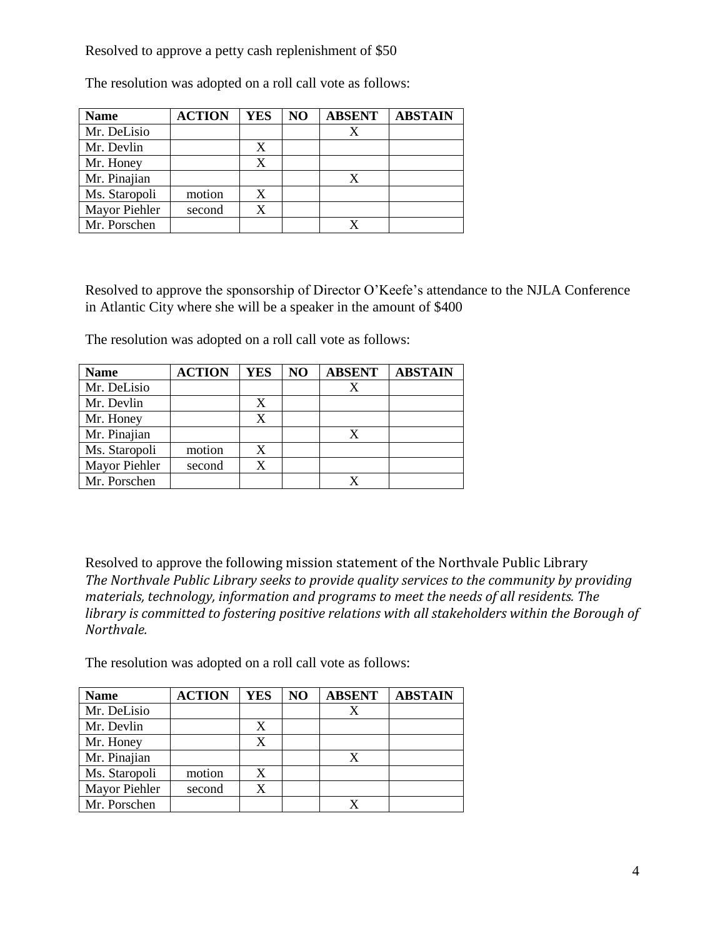Resolved to approve a petty cash replenishment of \$50

| <b>Name</b>          | <b>ACTION</b> | <b>YES</b> | NO | <b>ABSENT</b> | <b>ABSTAIN</b> |
|----------------------|---------------|------------|----|---------------|----------------|
| Mr. DeLisio          |               |            |    |               |                |
| Mr. Devlin           |               | X          |    |               |                |
| Mr. Honey            |               | X          |    |               |                |
| Mr. Pinajian         |               |            |    |               |                |
| Ms. Staropoli        | motion        | X          |    |               |                |
| <b>Mayor Piehler</b> | second        | X          |    |               |                |
| Mr. Porschen         |               |            |    |               |                |

The resolution was adopted on a roll call vote as follows:

Resolved to approve the sponsorship of Director O'Keefe's attendance to the NJLA Conference in Atlantic City where she will be a speaker in the amount of \$400

The resolution was adopted on a roll call vote as follows:

| <b>Name</b>   | <b>ACTION</b> | <b>YES</b> | NO | <b>ABSENT</b> | <b>ABSTAIN</b> |
|---------------|---------------|------------|----|---------------|----------------|
| Mr. DeLisio   |               |            |    |               |                |
| Mr. Devlin    |               |            |    |               |                |
| Mr. Honey     |               | X          |    |               |                |
| Mr. Pinajian  |               |            |    |               |                |
| Ms. Staropoli | motion        | X          |    |               |                |
| Mayor Piehler | second        |            |    |               |                |
| Mr. Porschen  |               |            |    |               |                |

Resolved to approve the following mission statement of the Northvale Public Library *The Northvale Public Library seeks to provide quality services to the community by providing materials, technology, information and programs to meet the needs of all residents. The library is committed to fostering positive relations with all stakeholders within the Borough of Northvale.*

The resolution was adopted on a roll call vote as follows:

| <b>Name</b>   | <b>ACTION</b> | <b>YES</b> | NO | <b>ABSENT</b> | <b>ABSTAIN</b> |
|---------------|---------------|------------|----|---------------|----------------|
| Mr. DeLisio   |               |            |    |               |                |
| Mr. Devlin    |               | X          |    |               |                |
| Mr. Honey     |               | X          |    |               |                |
| Mr. Pinajian  |               |            |    | X             |                |
| Ms. Staropoli | motion        | X          |    |               |                |
| Mayor Piehler | second        | X          |    |               |                |
| Mr. Porschen  |               |            |    |               |                |